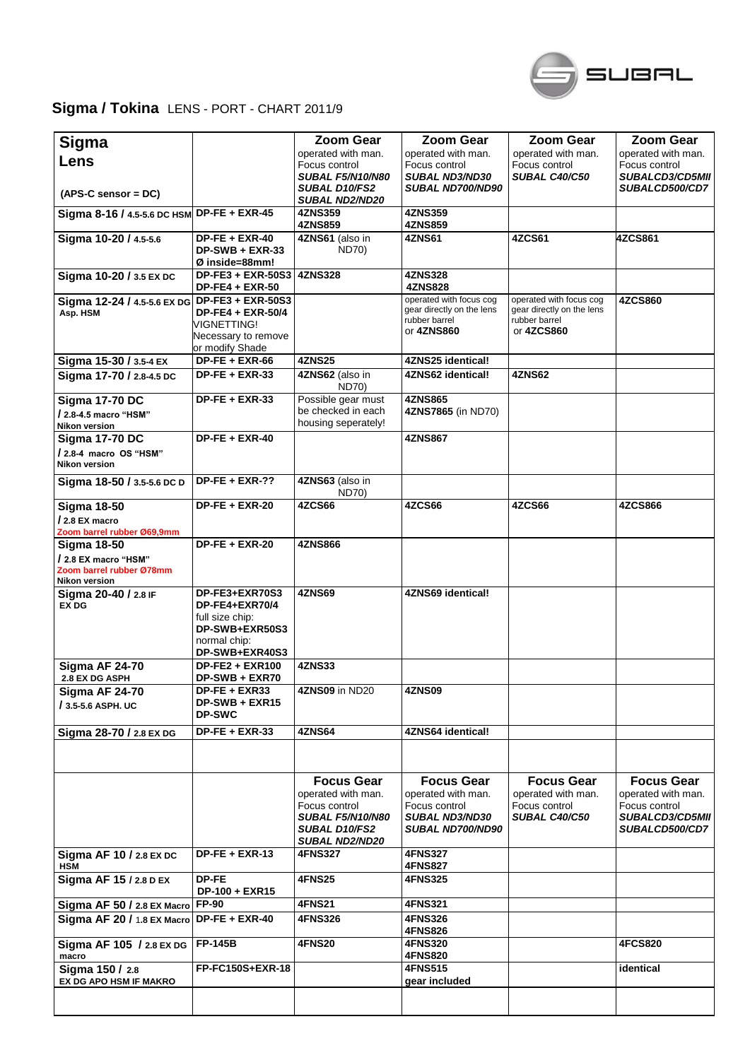

## **Sigma / Tokina** LENS - PORT - CHART 2011/9

| Sigma                                            |                                       | <b>Zoom Gear</b>                              | <b>Zoom Gear</b>                       | <b>Zoom Gear</b>                      | Zoom Gear                               |
|--------------------------------------------------|---------------------------------------|-----------------------------------------------|----------------------------------------|---------------------------------------|-----------------------------------------|
| Lens                                             |                                       | operated with man.                            | operated with man.                     | operated with man.                    | operated with man.                      |
|                                                  |                                       | Focus control<br><b>SUBAL F5/N10/N80</b>      | Focus control<br><b>SUBAL ND3/ND30</b> | Focus control<br><b>SUBAL C40/C50</b> | Focus control<br><b>SUBALCD3/CD5MII</b> |
|                                                  |                                       | <b>SUBAL D10/FS2</b>                          | <b>SUBAL ND700/ND90</b>                |                                       | <b>SUBALCD500/CD7</b>                   |
| $(APS-C sensor = DC)$                            |                                       | <b>SUBAL ND2/ND20</b>                         |                                        |                                       |                                         |
| Sigma 8-16 / 4.5-5.6 DC HSM DP-FE + EXR-45       |                                       | <b>4ZNS359</b><br><b>4ZNS859</b>              | 4ZNS359<br>4ZNS859                     |                                       |                                         |
| Sigma 10-20 / 4.5-5.6                            | $DP-FE + EXR-40$                      | 4ZNS61 (also in                               | 4ZNS61                                 | 4ZCS61                                | 4ZCS861                                 |
|                                                  | DP-SWB + EXR-33                       | ND70)                                         |                                        |                                       |                                         |
|                                                  | Ø inside=88mm!<br>$DP-FE3 + EXR-50S3$ | <b>4ZNS328</b>                                | <b>4ZNS328</b>                         |                                       |                                         |
| Sigma 10-20 / 3.5 EX DC                          | <b>DP-FE4 + EXR-50</b>                |                                               | <b>4ZNS828</b>                         |                                       |                                         |
| Sigma 12-24 / 4.5-5.6 EX DG DP-FE3 + EXR-50S3    |                                       |                                               | operated with focus cog                | operated with focus cog               | <b>4ZCS860</b>                          |
| Asp. HSM                                         | DP-FE4 + EXR-50/4                     |                                               | gear directly on the lens              | gear directly on the lens             |                                         |
|                                                  | VIGNETTING!                           |                                               | rubber barrel<br>or 4ZNS860            | rubber barrel<br>or 4ZCS860           |                                         |
|                                                  | Necessary to remove                   |                                               |                                        |                                       |                                         |
| Sigma 15-30 / 3.5-4 EX                           | or modify Shade<br>$DP-FE + EXR-66$   | <b>4ZNS25</b>                                 | 4ZNS25 identical!                      |                                       |                                         |
| Sigma 17-70 / 2.8-4.5 DC                         | $DP-FE + EXR-33$                      | 4ZNS62 (also in                               | 4ZNS62 identical!                      | 4ZNS62                                |                                         |
|                                                  |                                       | <b>ND70)</b>                                  |                                        |                                       |                                         |
| <b>Sigma 17-70 DC</b>                            | $DP-FE + EXR-33$                      | Possible gear must                            | 4ZNS865                                |                                       |                                         |
| / 2.8-4.5 macro "HSM"                            |                                       | be checked in each                            | 4ZNS7865 (in ND70)                     |                                       |                                         |
| Nikon version                                    |                                       | housing seperately!                           |                                        |                                       |                                         |
| <b>Sigma 17-70 DC</b>                            | $DP-FE + EXR-40$                      |                                               | <b>4ZNS867</b>                         |                                       |                                         |
| / 2.8-4 macro OS "HSM"                           |                                       |                                               |                                        |                                       |                                         |
| <b>Nikon version</b>                             |                                       |                                               |                                        |                                       |                                         |
| Sigma 18-50 / 3.5-5.6 DC D                       | $DP-FE + EXR-??$                      | 4ZNS63 (also in<br><b>ND70)</b>               |                                        |                                       |                                         |
| <b>Sigma 18-50</b>                               | $DP-FE + EXR-20$                      | 4ZCS66                                        | 4ZCS66                                 | 4ZCS66                                | <b>4ZCS866</b>                          |
| / 2.8 EX macro                                   |                                       |                                               |                                        |                                       |                                         |
| Zoom barrel rubber Ø69,9mm                       |                                       |                                               |                                        |                                       |                                         |
| <b>Sigma 18-50</b>                               | $DP-FE + EXR-20$                      | <b>4ZNS866</b>                                |                                        |                                       |                                         |
| / 2.8 EX macro "HSM"<br>Zoom barrel rubber Ø78mm |                                       |                                               |                                        |                                       |                                         |
| Nikon version                                    |                                       |                                               |                                        |                                       |                                         |
| Sigma 20-40 / 2.8 IF                             | DP-FE3+EXR70S3                        | 4ZNS69                                        | 4ZNS69 identical!                      |                                       |                                         |
| <b>EX DG</b>                                     | DP-FE4+EXR70/4                        |                                               |                                        |                                       |                                         |
|                                                  | full size chip:<br>DP-SWB+EXR50S3     |                                               |                                        |                                       |                                         |
|                                                  | normal chip:                          |                                               |                                        |                                       |                                         |
|                                                  | DP-SWB+EXR40S3                        |                                               |                                        |                                       |                                         |
| <b>Sigma AF 24-70</b>                            | <b>DP-FE2 + EXR100</b>                | <b>4ZNS33</b>                                 |                                        |                                       |                                         |
| 2.8 EX DG ASPH                                   | DP-SWB + EXR70                        |                                               |                                        |                                       |                                         |
| Sigma AF 24-70                                   | $DP-FE + EXR33$<br>DP-SWB + EXR15     | 4ZNS09 in ND20                                | <b>4ZNS09</b>                          |                                       |                                         |
| / 3.5-5.6 ASPH. UC                               | <b>DP-SWC</b>                         |                                               |                                        |                                       |                                         |
| Sigma 28-70 / 2.8 EX DG                          | DP-FE + EXR-33                        | <b>4ZNS64</b>                                 | 4ZNS64 identical!                      |                                       |                                         |
|                                                  |                                       |                                               |                                        |                                       |                                         |
|                                                  |                                       |                                               |                                        |                                       |                                         |
|                                                  |                                       | <b>Focus Gear</b>                             | <b>Focus Gear</b>                      | <b>Focus Gear</b>                     | <b>Focus Gear</b>                       |
|                                                  |                                       | operated with man.                            | operated with man.                     | operated with man.                    | operated with man.                      |
|                                                  |                                       | Focus control                                 | Focus control                          | Focus control                         | Focus control                           |
|                                                  |                                       | <b>SUBAL F5/N10/N80</b>                       | <b>SUBAL ND3/ND30</b>                  | SUBAL C40/C50                         | <b>SUBALCD3/CD5MII</b>                  |
|                                                  |                                       | <b>SUBAL D10/FS2</b><br><b>SUBAL ND2/ND20</b> | <b>SUBAL ND700/ND90</b>                |                                       | <b>SUBALCD500/CD7</b>                   |
| Sigma AF 10 / 2.8 EX DC                          | $DF-FE + EXR-13$                      | <b>4FNS327</b>                                | <b>4FNS327</b>                         |                                       |                                         |
| <b>HSM</b>                                       |                                       |                                               | 4FNS827                                |                                       |                                         |
| Sigma AF 15 / 2.8 D EX                           | DP-FE                                 | 4FNS25                                        | <b>4FNS325</b>                         |                                       |                                         |
|                                                  | DP-100 + EXR15                        |                                               |                                        |                                       |                                         |
| Sigma AF 50 / 2.8 EX Macro                       | <b>FP-90</b>                          | <b>4FNS21</b>                                 | 4FNS321                                |                                       |                                         |
| Sigma AF 20 / 1.8 EX Macro DP-FE + EXR-40        |                                       | <b>4FNS326</b>                                | <b>4FNS326</b><br><b>4FNS826</b>       |                                       |                                         |
| Sigma AF 105 / 2.8 EX DG                         | <b>FP-145B</b>                        | <b>4FNS20</b>                                 | <b>4FNS320</b>                         |                                       | <b>4FCS820</b>                          |
| macro                                            |                                       |                                               | <b>4FNS820</b>                         |                                       |                                         |
| Sigma 150 / 2.8                                  | FP-FC150S+EXR-18                      |                                               | <b>4FNS515</b>                         |                                       | identical                               |
| EX DG APO HSM IF MAKRO                           |                                       |                                               | gear included                          |                                       |                                         |
|                                                  |                                       |                                               |                                        |                                       |                                         |
|                                                  |                                       |                                               |                                        |                                       |                                         |